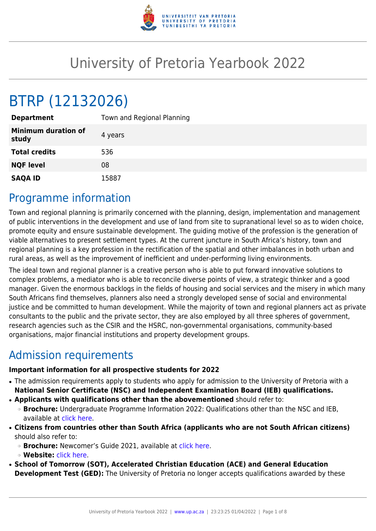

# University of Pretoria Yearbook 2022

# BTRP (12132026)

| <b>Department</b>                   | Town and Regional Planning |
|-------------------------------------|----------------------------|
| <b>Minimum duration of</b><br>study | 4 years                    |
| <b>Total credits</b>                | 536                        |
| <b>NQF level</b>                    | 08                         |
| <b>SAQA ID</b>                      | 15887                      |

# Programme information

Town and regional planning is primarily concerned with the planning, design, implementation and management of public interventions in the development and use of land from site to supranational level so as to widen choice, promote equity and ensure sustainable development. The guiding motive of the profession is the generation of viable alternatives to present settlement types. At the current juncture in South Africa's history, town and regional planning is a key profession in the rectification of the spatial and other imbalances in both urban and rural areas, as well as the improvement of inefficient and under-performing living environments.

The ideal town and regional planner is a creative person who is able to put forward innovative solutions to complex problems, a mediator who is able to reconcile diverse points of view, a strategic thinker and a good manager. Given the enormous backlogs in the fields of housing and social services and the misery in which many South Africans find themselves, planners also need a strongly developed sense of social and environmental justice and be committed to human development. While the majority of town and regional planners act as private consultants to the public and the private sector, they are also employed by all three spheres of government, research agencies such as the CSIR and the HSRC, non-governmental organisations, community-based organisations, major financial institutions and property development groups.

# Admission requirements

### **Important information for all prospective students for 2022**

- The admission requirements apply to students who apply for admission to the University of Pretoria with a **National Senior Certificate (NSC) and Independent Examination Board (IEB) qualifications.**
- **Applicants with qualifications other than the abovementioned** should refer to:
	- ❍ **Brochure:** Undergraduate Programme Information 2022: Qualifications other than the NSC and IEB, available at [click here.](https://www.up.ac.za/students/article/2749263/admission-information)
- **Citizens from countries other than South Africa (applicants who are not South African citizens)** should also refer to:
	- ❍ **Brochure:** Newcomer's Guide 2021, available at [click here.](https://www.up.ac.za/students/article/2749263/admission-information)
	- ❍ **Website:** [click here](http://www.up.ac.za/international-cooperation-division).
- **School of Tomorrow (SOT), Accelerated Christian Education (ACE) and General Education Development Test (GED):** The University of Pretoria no longer accepts qualifications awarded by these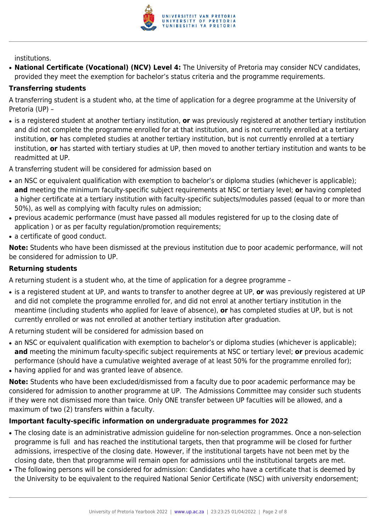

institutions.

● **National Certificate (Vocational) (NCV) Level 4:** The University of Pretoria may consider NCV candidates, provided they meet the exemption for bachelor's status criteria and the programme requirements.

#### **Transferring students**

A transferring student is a student who, at the time of application for a degree programme at the University of Pretoria (UP) –

● is a registered student at another tertiary institution, **or** was previously registered at another tertiary institution and did not complete the programme enrolled for at that institution, and is not currently enrolled at a tertiary institution, **or** has completed studies at another tertiary institution, but is not currently enrolled at a tertiary institution, **or** has started with tertiary studies at UP, then moved to another tertiary institution and wants to be readmitted at UP.

A transferring student will be considered for admission based on

- an NSC or equivalent qualification with exemption to bachelor's or diploma studies (whichever is applicable); **and** meeting the minimum faculty-specific subject requirements at NSC or tertiary level; **or** having completed a higher certificate at a tertiary institution with faculty-specific subjects/modules passed (equal to or more than 50%), as well as complying with faculty rules on admission;
- previous academic performance (must have passed all modules registered for up to the closing date of application ) or as per faculty regulation/promotion requirements;
- a certificate of good conduct.

**Note:** Students who have been dismissed at the previous institution due to poor academic performance, will not be considered for admission to UP.

### **Returning students**

A returning student is a student who, at the time of application for a degree programme –

● is a registered student at UP, and wants to transfer to another degree at UP, **or** was previously registered at UP and did not complete the programme enrolled for, and did not enrol at another tertiary institution in the meantime (including students who applied for leave of absence), **or** has completed studies at UP, but is not currently enrolled or was not enrolled at another tertiary institution after graduation.

A returning student will be considered for admission based on

- an NSC or equivalent qualification with exemption to bachelor's or diploma studies (whichever is applicable); **and** meeting the minimum faculty-specific subject requirements at NSC or tertiary level; **or** previous academic performance (should have a cumulative weighted average of at least 50% for the programme enrolled for);
- having applied for and was granted leave of absence.

**Note:** Students who have been excluded/dismissed from a faculty due to poor academic performance may be considered for admission to another programme at UP. The Admissions Committee may consider such students if they were not dismissed more than twice. Only ONE transfer between UP faculties will be allowed, and a maximum of two (2) transfers within a faculty.

#### **Important faculty-specific information on undergraduate programmes for 2022**

- The closing date is an administrative admission guideline for non-selection programmes. Once a non-selection programme is full and has reached the institutional targets, then that programme will be closed for further admissions, irrespective of the closing date. However, if the institutional targets have not been met by the closing date, then that programme will remain open for admissions until the institutional targets are met.
- The following persons will be considered for admission: Candidates who have a certificate that is deemed by the University to be equivalent to the required National Senior Certificate (NSC) with university endorsement;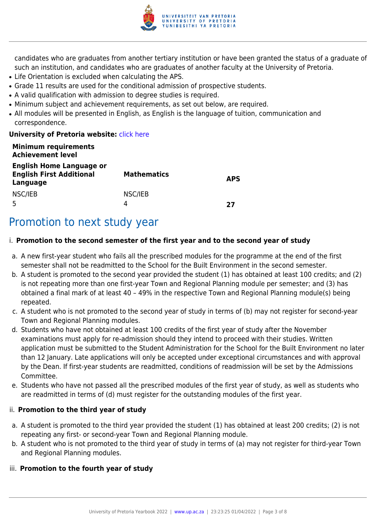

candidates who are graduates from another tertiary institution or have been granted the status of a graduate of such an institution, and candidates who are graduates of another faculty at the University of Pretoria.

- Life Orientation is excluded when calculating the APS.
- Grade 11 results are used for the conditional admission of prospective students.
- A valid qualification with admission to degree studies is required.
- Minimum subject and achievement requirements, as set out below, are required.
- All modules will be presented in English, as English is the language of tuition, communication and correspondence.

#### **University of Pretoria website: [click here](http://www.up.ac.za/ebit)**

| <b>Minimum requirements</b><br><b>Achievement level</b>                        |                    |            |
|--------------------------------------------------------------------------------|--------------------|------------|
| <b>English Home Language or</b><br><b>English First Additional</b><br>Language | <b>Mathematics</b> | <b>APS</b> |
| NSC/IEB                                                                        | NSC/IEB<br>Δ       | 77         |

# Promotion to next study year

### i. **Promotion to the second semester of the first year and to the second year of study**

- a. A new first-year student who fails all the prescribed modules for the programme at the end of the first semester shall not be readmitted to the School for the Built Environment in the second semester.
- b. A student is promoted to the second year provided the student (1) has obtained at least 100 credits; and (2) is not repeating more than one first-year Town and Regional Planning module per semester; and (3) has obtained a final mark of at least 40 – 49% in the respective Town and Regional Planning module(s) being repeated.
- c. A student who is not promoted to the second year of study in terms of (b) may not register for second-year Town and Regional Planning modules.
- d. Students who have not obtained at least 100 credits of the first year of study after the November examinations must apply for re-admission should they intend to proceed with their studies. Written application must be submitted to the Student Administration for the School for the Built Environment no later than 12 January. Late applications will only be accepted under exceptional circumstances and with approval by the Dean. If first-year students are readmitted, conditions of readmission will be set by the Admissions Committee.
- e. Students who have not passed all the prescribed modules of the first year of study, as well as students who are readmitted in terms of (d) must register for the outstanding modules of the first year.

#### ii. **Promotion to the third year of study**

- a. A student is promoted to the third year provided the student (1) has obtained at least 200 credits; (2) is not repeating any first- or second-year Town and Regional Planning module.
- b. A student who is not promoted to the third year of study in terms of (a) may not register for third-year Town and Regional Planning modules.

#### iii. **Promotion to the fourth year of study**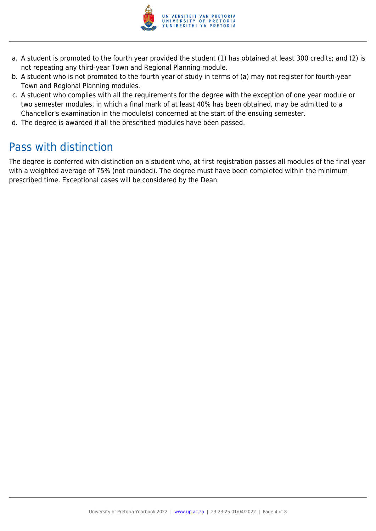

- a. A student is promoted to the fourth year provided the student (1) has obtained at least 300 credits; and (2) is not repeating any third-year Town and Regional Planning module.
- b. A student who is not promoted to the fourth year of study in terms of (a) may not register for fourth-year Town and Regional Planning modules.
- c. A student who complies with all the requirements for the degree with the exception of one year module or two semester modules, in which a final mark of at least 40% has been obtained, may be admitted to a Chancellor's examination in the module(s) concerned at the start of the ensuing semester.
- d. The degree is awarded if all the prescribed modules have been passed.

# Pass with distinction

The degree is conferred with distinction on a student who, at first registration passes all modules of the final year with a weighted average of 75% (not rounded). The degree must have been completed within the minimum prescribed time. Exceptional cases will be considered by the Dean.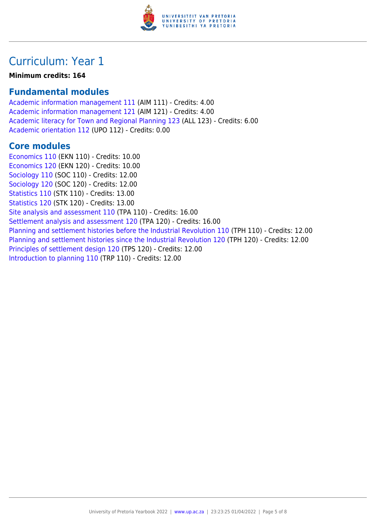

# Curriculum: Year 1

**Minimum credits: 164**

## **Fundamental modules**

[Academic information management 111](https://www.up.ac.za/yearbooks/2022/modules/view/AIM 111) (AIM 111) - Credits: 4.00 [Academic information management 121](https://www.up.ac.za/yearbooks/2022/modules/view/AIM 121) (AIM 121) - Credits: 4.00 [Academic literacy for Town and Regional Planning 123](https://www.up.ac.za/yearbooks/2022/modules/view/ALL 123) (ALL 123) - Credits: 6.00 [Academic orientation 112](https://www.up.ac.za/yearbooks/2022/modules/view/UPO 112) (UPO 112) - Credits: 0.00

### **Core modules**

[Economics 110](https://www.up.ac.za/yearbooks/2022/modules/view/EKN 110) (EKN 110) - Credits: 10.00 [Economics 120](https://www.up.ac.za/yearbooks/2022/modules/view/EKN 120) (EKN 120) - Credits: 10.00 [Sociology 110](https://www.up.ac.za/yearbooks/2022/modules/view/SOC 110) (SOC 110) - Credits: 12.00 [Sociology 120](https://www.up.ac.za/yearbooks/2022/modules/view/SOC 120) (SOC 120) - Credits: 12.00 [Statistics 110](https://www.up.ac.za/yearbooks/2022/modules/view/STK 110) (STK 110) - Credits: 13.00 [Statistics 120](https://www.up.ac.za/yearbooks/2022/modules/view/STK 120) (STK 120) - Credits: 13.00 [Site analysis and assessment 110](https://www.up.ac.za/yearbooks/2022/modules/view/TPA 110) (TPA 110) - Credits: 16.00 [Settlement analysis and assessment 120](https://www.up.ac.za/yearbooks/2022/modules/view/TPA 120) (TPA 120) - Credits: 16.00 [Planning and settlement histories before the Industrial Revolution 110](https://www.up.ac.za/yearbooks/2022/modules/view/TPH 110) (TPH 110) - Credits: 12.00 [Planning and settlement histories since the Industrial Revolution 120](https://www.up.ac.za/yearbooks/2022/modules/view/TPH 120) (TPH 120) - Credits: 12.00 [Principles of settlement design 120](https://www.up.ac.za/yearbooks/2022/modules/view/TPS 120) (TPS 120) - Credits: 12.00 [Introduction to planning 110](https://www.up.ac.za/yearbooks/2022/modules/view/TRP 110) (TRP 110) - Credits: 12.00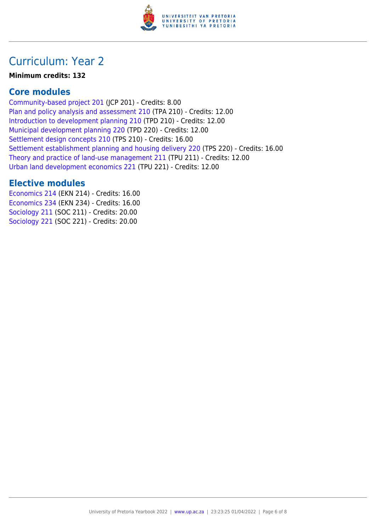

# Curriculum: Year 2

#### **Minimum credits: 132**

### **Core modules**

[Community-based project 201](https://www.up.ac.za/yearbooks/2022/modules/view/JCP 201) (JCP 201) - Credits: 8.00 [Plan and policy analysis and assessment 210](https://www.up.ac.za/yearbooks/2022/modules/view/TPA 210) (TPA 210) - Credits: 12.00 [Introduction to development planning 210](https://www.up.ac.za/yearbooks/2022/modules/view/TPD 210) (TPD 210) - Credits: 12.00 [Municipal development planning 220](https://www.up.ac.za/yearbooks/2022/modules/view/TPD 220) (TPD 220) - Credits: 12.00 [Settlement design concepts 210](https://www.up.ac.za/yearbooks/2022/modules/view/TPS 210) (TPS 210) - Credits: 16.00 [Settlement establishment planning and housing delivery 220](https://www.up.ac.za/yearbooks/2022/modules/view/TPS 220) (TPS 220) - Credits: 16.00 [Theory and practice of land-use management 211](https://www.up.ac.za/yearbooks/2022/modules/view/TPU 211) (TPU 211) - Credits: 12.00 [Urban land development economics 221](https://www.up.ac.za/yearbooks/2022/modules/view/TPU 221) (TPU 221) - Credits: 12.00

### **Elective modules**

[Economics 214](https://www.up.ac.za/yearbooks/2022/modules/view/EKN 214) (EKN 214) - Credits: 16.00 [Economics 234](https://www.up.ac.za/yearbooks/2022/modules/view/EKN 234) (EKN 234) - Credits: 16.00 [Sociology 211](https://www.up.ac.za/yearbooks/2022/modules/view/SOC 211) (SOC 211) - Credits: 20.00 [Sociology 221](https://www.up.ac.za/yearbooks/2022/modules/view/SOC 221) (SOC 221) - Credits: 20.00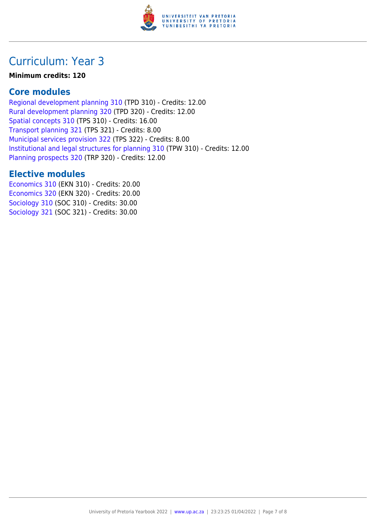

# Curriculum: Year 3

### **Minimum credits: 120**

## **Core modules**

[Regional development planning 310](https://www.up.ac.za/yearbooks/2022/modules/view/TPD 310) (TPD 310) - Credits: 12.00 [Rural development planning 320](https://www.up.ac.za/yearbooks/2022/modules/view/TPD 320) (TPD 320) - Credits: 12.00 [Spatial concepts 310](https://www.up.ac.za/yearbooks/2022/modules/view/TPS 310) (TPS 310) - Credits: 16.00 [Transport planning 321](https://www.up.ac.za/yearbooks/2022/modules/view/TPS 321) (TPS 321) - Credits: 8.00 [Municipal services provision 322](https://www.up.ac.za/yearbooks/2022/modules/view/TPS 322) (TPS 322) - Credits: 8.00 [Institutional and legal structures for planning 310](https://www.up.ac.za/yearbooks/2022/modules/view/TPW 310) (TPW 310) - Credits: 12.00 [Planning prospects 320](https://www.up.ac.za/yearbooks/2022/modules/view/TRP 320) (TRP 320) - Credits: 12.00

# **Elective modules**

[Economics 310](https://www.up.ac.za/yearbooks/2022/modules/view/EKN 310) (EKN 310) - Credits: 20.00 [Economics 320](https://www.up.ac.za/yearbooks/2022/modules/view/EKN 320) (EKN 320) - Credits: 20.00 [Sociology 310](https://www.up.ac.za/yearbooks/2022/modules/view/SOC 310) (SOC 310) - Credits: 30.00 [Sociology 321](https://www.up.ac.za/yearbooks/2022/modules/view/SOC 321) (SOC 321) - Credits: 30.00